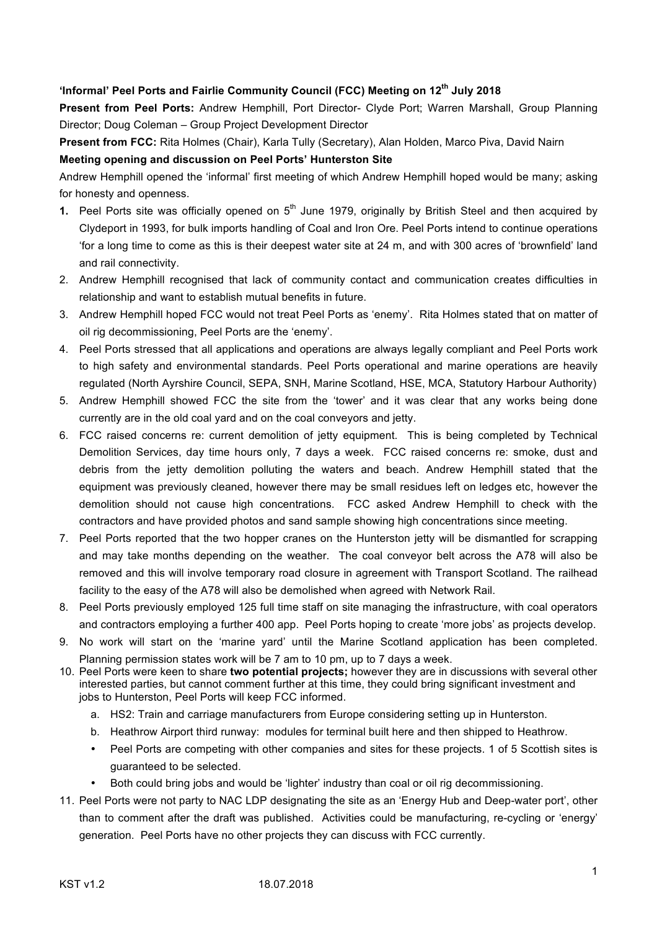# **'Informal' Peel Ports and Fairlie Community Council (FCC) Meeting on 12th July 2018**

**Present from Peel Ports:** Andrew Hemphill, Port Director- Clyde Port; Warren Marshall, Group Planning Director; Doug Coleman – Group Project Development Director

**Present from FCC:** Rita Holmes (Chair), Karla Tully (Secretary), Alan Holden, Marco Piva, David Nairn

### **Meeting opening and discussion on Peel Ports' Hunterston Site**

Andrew Hemphill opened the 'informal' first meeting of which Andrew Hemphill hoped would be many; asking for honesty and openness.

- **1.** Peel Ports site was officially opened on 5<sup>th</sup> June 1979, originally by British Steel and then acquired by Clydeport in 1993, for bulk imports handling of Coal and Iron Ore. Peel Ports intend to continue operations 'for a long time to come as this is their deepest water site at 24 m, and with 300 acres of 'brownfield' land and rail connectivity.
- 2. Andrew Hemphill recognised that lack of community contact and communication creates difficulties in relationship and want to establish mutual benefits in future.
- 3. Andrew Hemphill hoped FCC would not treat Peel Ports as 'enemy'. Rita Holmes stated that on matter of oil rig decommissioning, Peel Ports are the 'enemy'.
- 4. Peel Ports stressed that all applications and operations are always legally compliant and Peel Ports work to high safety and environmental standards. Peel Ports operational and marine operations are heavily regulated (North Ayrshire Council, SEPA, SNH, Marine Scotland, HSE, MCA, Statutory Harbour Authority)
- 5. Andrew Hemphill showed FCC the site from the 'tower' and it was clear that any works being done currently are in the old coal yard and on the coal conveyors and jetty.
- 6. FCC raised concerns re: current demolition of jetty equipment. This is being completed by Technical Demolition Services, day time hours only, 7 days a week. FCC raised concerns re: smoke, dust and debris from the jetty demolition polluting the waters and beach. Andrew Hemphill stated that the equipment was previously cleaned, however there may be small residues left on ledges etc, however the demolition should not cause high concentrations. FCC asked Andrew Hemphill to check with the contractors and have provided photos and sand sample showing high concentrations since meeting.
- 7. Peel Ports reported that the two hopper cranes on the Hunterston jetty will be dismantled for scrapping and may take months depending on the weather. The coal conveyor belt across the A78 will also be removed and this will involve temporary road closure in agreement with Transport Scotland. The railhead facility to the easy of the A78 will also be demolished when agreed with Network Rail.
- 8. Peel Ports previously employed 125 full time staff on site managing the infrastructure, with coal operators and contractors employing a further 400 app. Peel Ports hoping to create 'more jobs' as projects develop.
- 9. No work will start on the 'marine yard' until the Marine Scotland application has been completed. Planning permission states work will be 7 am to 10 pm, up to 7 days a week.
- 10. Peel Ports were keen to share **two potential projects;** however they are in discussions with several other interested parties, but cannot comment further at this time, they could bring significant investment and jobs to Hunterston, Peel Ports will keep FCC informed.
	- a. HS2: Train and carriage manufacturers from Europe considering setting up in Hunterston.
	- b. Heathrow Airport third runway: modules for terminal built here and then shipped to Heathrow.
	- Peel Ports are competing with other companies and sites for these projects. 1 of 5 Scottish sites is guaranteed to be selected.
	- Both could bring jobs and would be 'lighter' industry than coal or oil rig decommissioning.
- 11. Peel Ports were not party to NAC LDP designating the site as an 'Energy Hub and Deep-water port', other than to comment after the draft was published. Activities could be manufacturing, re-cycling or 'energy' generation. Peel Ports have no other projects they can discuss with FCC currently.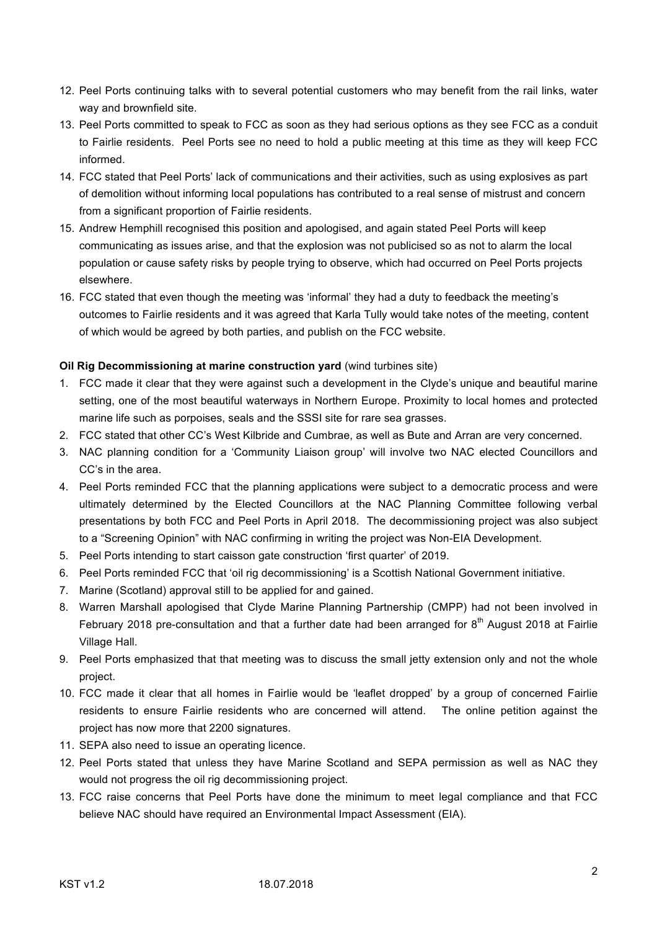- 12. Peel Ports continuing talks with to several potential customers who may benefit from the rail links, water way and brownfield site.
- 13. Peel Ports committed to speak to FCC as soon as they had serious options as they see FCC as a conduit to Fairlie residents. Peel Ports see no need to hold a public meeting at this time as they will keep FCC informed.
- 14. FCC stated that Peel Ports' lack of communications and their activities, such as using explosives as part of demolition without informing local populations has contributed to a real sense of mistrust and concern from a significant proportion of Fairlie residents.
- 15. Andrew Hemphill recognised this position and apologised, and again stated Peel Ports will keep communicating as issues arise, and that the explosion was not publicised so as not to alarm the local population or cause safety risks by people trying to observe, which had occurred on Peel Ports projects elsewhere.
- 16. FCC stated that even though the meeting was 'informal' they had a duty to feedback the meeting's outcomes to Fairlie residents and it was agreed that Karla Tully would take notes of the meeting, content of which would be agreed by both parties, and publish on the FCC website.

## **Oil Rig Decommissioning at marine construction yard** (wind turbines site)

- 1. FCC made it clear that they were against such a development in the Clyde's unique and beautiful marine setting, one of the most beautiful waterways in Northern Europe. Proximity to local homes and protected marine life such as porpoises, seals and the SSSI site for rare sea grasses.
- 2. FCC stated that other CC's West Kilbride and Cumbrae, as well as Bute and Arran are very concerned.
- 3. NAC planning condition for a 'Community Liaison group' will involve two NAC elected Councillors and CC's in the area.
- 4. Peel Ports reminded FCC that the planning applications were subject to a democratic process and were ultimately determined by the Elected Councillors at the NAC Planning Committee following verbal presentations by both FCC and Peel Ports in April 2018. The decommissioning project was also subject to a "Screening Opinion" with NAC confirming in writing the project was Non-EIA Development.
- 5. Peel Ports intending to start caisson gate construction 'first quarter' of 2019.
- 6. Peel Ports reminded FCC that 'oil rig decommissioning' is a Scottish National Government initiative.
- 7. Marine (Scotland) approval still to be applied for and gained.
- 8. Warren Marshall apologised that Clyde Marine Planning Partnership (CMPP) had not been involved in February 2018 pre-consultation and that a further date had been arranged for  $8<sup>th</sup>$  August 2018 at Fairlie Village Hall.
- 9. Peel Ports emphasized that that meeting was to discuss the small jetty extension only and not the whole project.
- 10. FCC made it clear that all homes in Fairlie would be 'leaflet dropped' by a group of concerned Fairlie residents to ensure Fairlie residents who are concerned will attend. The online petition against the project has now more that 2200 signatures.
- 11. SEPA also need to issue an operating licence.
- 12. Peel Ports stated that unless they have Marine Scotland and SEPA permission as well as NAC they would not progress the oil rig decommissioning project.
- 13. FCC raise concerns that Peel Ports have done the minimum to meet legal compliance and that FCC believe NAC should have required an Environmental Impact Assessment (EIA).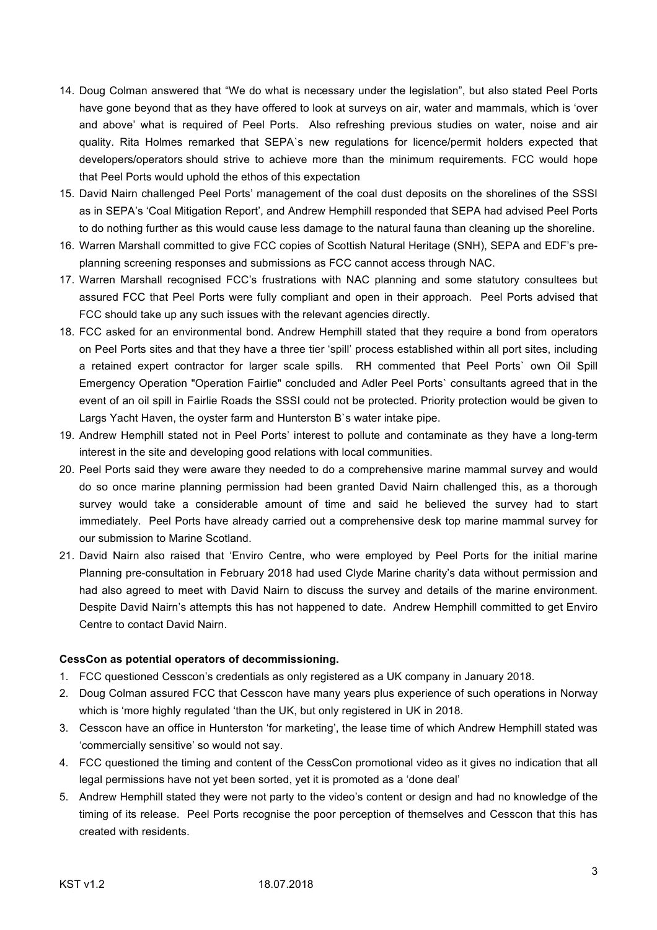- 14. Doug Colman answered that "We do what is necessary under the legislation", but also stated Peel Ports have gone beyond that as they have offered to look at surveys on air, water and mammals, which is 'over and above' what is required of Peel Ports. Also refreshing previous studies on water, noise and air quality. Rita Holmes remarked that SEPA`s new regulations for licence/permit holders expected that developers/operators should strive to achieve more than the minimum requirements. FCC would hope that Peel Ports would uphold the ethos of this expectation
- 15. David Nairn challenged Peel Ports' management of the coal dust deposits on the shorelines of the SSSI as in SEPA's 'Coal Mitigation Report', and Andrew Hemphill responded that SEPA had advised Peel Ports to do nothing further as this would cause less damage to the natural fauna than cleaning up the shoreline.
- 16. Warren Marshall committed to give FCC copies of Scottish Natural Heritage (SNH), SEPA and EDF's preplanning screening responses and submissions as FCC cannot access through NAC.
- 17. Warren Marshall recognised FCC's frustrations with NAC planning and some statutory consultees but assured FCC that Peel Ports were fully compliant and open in their approach. Peel Ports advised that FCC should take up any such issues with the relevant agencies directly.
- 18. FCC asked for an environmental bond. Andrew Hemphill stated that they require a bond from operators on Peel Ports sites and that they have a three tier 'spill' process established within all port sites, including a retained expert contractor for larger scale spills. RH commented that Peel Ports` own Oil Spill Emergency Operation "Operation Fairlie" concluded and Adler Peel Ports` consultants agreed that in the event of an oil spill in Fairlie Roads the SSSI could not be protected. Priority protection would be given to Largs Yacht Haven, the oyster farm and Hunterston B`s water intake pipe.
- 19. Andrew Hemphill stated not in Peel Ports' interest to pollute and contaminate as they have a long-term interest in the site and developing good relations with local communities.
- 20. Peel Ports said they were aware they needed to do a comprehensive marine mammal survey and would do so once marine planning permission had been granted David Nairn challenged this, as a thorough survey would take a considerable amount of time and said he believed the survey had to start immediately. Peel Ports have already carried out a comprehensive desk top marine mammal survey for our submission to Marine Scotland.
- 21. David Nairn also raised that 'Enviro Centre, who were employed by Peel Ports for the initial marine Planning pre-consultation in February 2018 had used Clyde Marine charity's data without permission and had also agreed to meet with David Nairn to discuss the survey and details of the marine environment. Despite David Nairn's attempts this has not happened to date. Andrew Hemphill committed to get Enviro Centre to contact David Nairn.

### **CessCon as potential operators of decommissioning.**

- 1. FCC questioned Cesscon's credentials as only registered as a UK company in January 2018.
- 2. Doug Colman assured FCC that Cesscon have many years plus experience of such operations in Norway which is 'more highly regulated 'than the UK, but only registered in UK in 2018.
- 3. Cesscon have an office in Hunterston 'for marketing', the lease time of which Andrew Hemphill stated was 'commercially sensitive' so would not say.
- 4. FCC questioned the timing and content of the CessCon promotional video as it gives no indication that all legal permissions have not yet been sorted, yet it is promoted as a 'done deal'
- 5. Andrew Hemphill stated they were not party to the video's content or design and had no knowledge of the timing of its release. Peel Ports recognise the poor perception of themselves and Cesscon that this has created with residents.